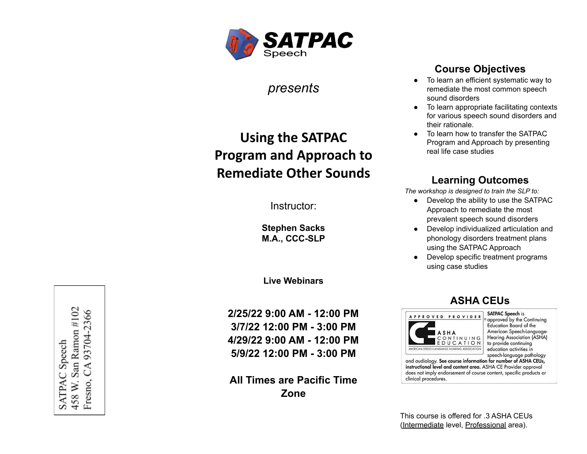

*presents*

# **Using the SATPAC Program and Approach to Remediate Other Sounds**

Instructor:

**Stephen Sacks M.A., CCC-SLP**

**Live Webinars**

**2/25/22 9:00 AM - 12:00 PM 3/7/22 12:00 PM - 3:00 PM 4/29/22 9:00 AM - 12:00 PM 5/9/22 12:00 PM - 3:00 PM**

**All Times are Pacific Time Zone**

## **Course Objectives**

- To learn an efficient systematic way to remediate the most common speech sound disorders
- To learn appropriate facilitating contexts for various speech sound disorders and their rationale.
- To learn how to transfer the SATPAC Program and Approach by presenting real life case studies

## **Learning Outcomes**

*The workshop is designed to train the SLP to:*

- Develop the ability to use the SATPAC Approach to remediate the most prevalent speech sound disorders
- Develop individualized articulation and phonology disorders treatment plans using the SATPAC Approach
- Develop specific treatment programs using case studies

#### **ASHA CEUs**



**SATPAC Speech is** approved by the Continuing **Education Board of the** American Speech-Language **Hearing Association (ASHA)** to provide continuing education activities in speech-language pathology

and audiology. See course information for number of ASHA CEUs, instructional level and content area. ASHA CE Provider approval does not imply endorsement of course content, specific products or clinical procedures.

This course is offered for .3 ASHA CEUs (Intermediate level, Professional area).

458 W. San Ramon #102 CA 93704-2366 SATPAC Speech Fresno,